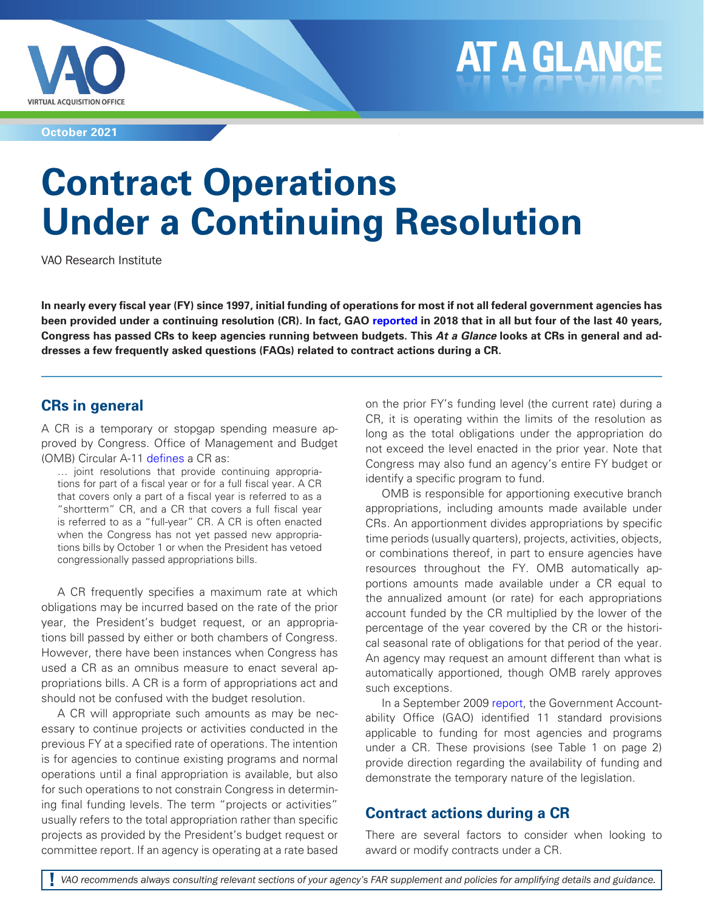

**October 2021**

# **Contract Operations Under a Continuing Resolution**

VAO Research Institute

**In nearly every fiscal year (FY) since 1997, initial funding of operations for most if not all federal government agencies has been provided under a continuing resolution (CR). In fact, GAO [reported](https://www.gao.gov/products/gao-18-368t) in 2018 that in all but four of the last 40 years, Congress has passed CRs to keep agencies running between budgets. This At a Glance looks at CRs in general and addresses a few frequently asked questions (FAQs) related to contract actions during a CR.**

# **CRs in general**

A CR is a temporary or stopgap spending measure approved by Congress. Office of Management and Budget (OMB) Circular A-11 [defines](https://www.whitehouse.gov/wp-content/uploads/2018/06/a11.pdf) a CR as:

… joint resolutions that provide continuing appropriations for part of a fiscal year or for a full fiscal year. A CR that covers only a part of a fiscal year is referred to as a "shortterm" CR, and a CR that covers a full fiscal year is referred to as a "full-year" CR. A CR is often enacted when the Congress has not yet passed new appropriations bills by October 1 or when the President has vetoed congressionally passed appropriations bills.

A CR frequently specifies a maximum rate at which obligations may be incurred based on the rate of the prior year, the President's budget request, or an appropriations bill passed by either or both chambers of Congress. However, there have been instances when Congress has used a CR as an omnibus measure to enact several appropriations bills. A CR is a form of appropriations act and should not be confused with the budget resolution.

A CR will appropriate such amounts as may be necessary to continue projects or activities conducted in the previous FY at a specified rate of operations. The intention is for agencies to continue existing programs and normal operations until a final appropriation is available, but also for such operations to not constrain Congress in determining final funding levels. The term "projects or activities" usually refers to the total appropriation rather than specific projects as provided by the President's budget request or committee report. If an agency is operating at a rate based on the prior FY's funding level (the current rate) during a CR, it is operating within the limits of the resolution as long as the total obligations under the appropriation do not exceed the level enacted in the prior year. Note that Congress may also fund an agency's entire FY budget or identify a specific program to fund.

OMB is responsible for apportioning executive branch appropriations, including amounts made available under CRs. An apportionment divides appropriations by specific time periods (usually quarters), projects, activities, objects, or combinations thereof, in part to ensure agencies have resources throughout the FY. OMB automatically apportions amounts made available under a CR equal to the annualized amount (or rate) for each appropriations account funded by the CR multiplied by the lower of the percentage of the year covered by the CR or the historical seasonal rate of obligations for that period of the year. An agency may request an amount different than what is automatically apportioned, though OMB rarely approves such exceptions.

In a September 2009 [report](https://www.gao.gov/products/gao-09-879), the Government Accountability Office (GAO) identified 11 standard provisions applicable to funding for most agencies and programs under a CR. These provisions (see Table 1 on page 2) provide direction regarding the availability of funding and demonstrate the temporary nature of the legislation.

# **Contract actions during a CR**

There are several factors to consider when looking to award or modify contracts under a CR.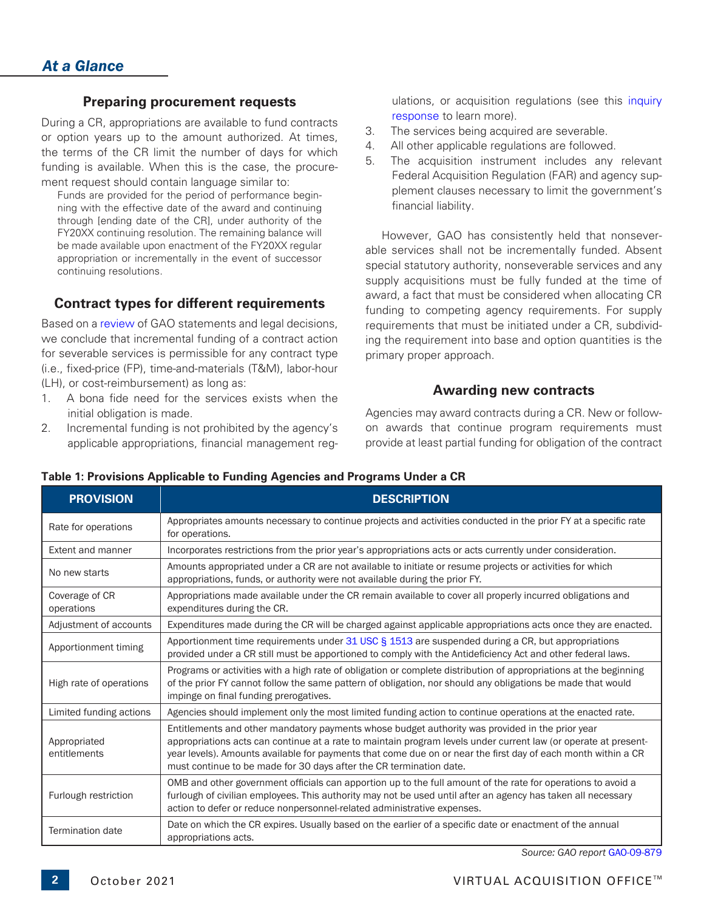## **Preparing procurement requests**

During a CR, appropriations are available to fund contracts or option years up to the amount authorized. At times, the terms of the CR limit the number of days for which funding is available. When this is the case, the procurement request should contain language similar to:

Funds are provided for the period of performance beginning with the effective date of the award and continuing through [ending date of the CR], under authority of the FY20XX continuing resolution. The remaining balance will be made available upon enactment of the FY20XX regular appropriation or incrementally in the event of successor continuing resolutions.

## **Contract types for different requirements**

Based on a [review](https://www.gotovao.com/Documents/87efc0a3bf1a4cdcb2f355d8311ade3c) of GAO statements and legal decisions, we conclude that incremental funding of a contract action for severable services is permissible for any contract type (i.e., fixed-price (FP), time-and-materials (T&M), labor-hour (LH), or cost-reimbursement) as long as:

- 1. A bona fide need for the services exists when the initial obligation is made.
- 2. Incremental funding is not prohibited by the agency's applicable appropriations, financial management reg-

ulations, or acquisition regulations (see this [inquiry](https://www.gotovao.com/Documents/87efc0a3bf1a4cdcb2f355d8311ade3c)  [response](https://www.gotovao.com/Documents/87efc0a3bf1a4cdcb2f355d8311ade3c) to learn more).

- 3. The services being acquired are severable.
- 4. All other applicable regulations are followed.
- 5. The acquisition instrument includes any relevant Federal Acquisition Regulation (FAR) and agency supplement clauses necessary to limit the government's financial liability.

However, GAO has consistently held that nonseverable services shall not be incrementally funded. Absent special statutory authority, nonseverable services and any supply acquisitions must be fully funded at the time of award, a fact that must be considered when allocating CR funding to competing agency requirements. For supply requirements that must be initiated under a CR, subdividing the requirement into base and option quantities is the primary proper approach.

## **Awarding new contracts**

Agencies may award contracts during a CR. New or followon awards that continue program requirements must provide at least partial funding for obligation of the contract

| <b>PROVISION</b>             | <b>DESCRIPTION</b>                                                                                                                                                                                                                                                                                                                                                                                         |
|------------------------------|------------------------------------------------------------------------------------------------------------------------------------------------------------------------------------------------------------------------------------------------------------------------------------------------------------------------------------------------------------------------------------------------------------|
| Rate for operations          | Appropriates amounts necessary to continue projects and activities conducted in the prior FY at a specific rate<br>for operations.                                                                                                                                                                                                                                                                         |
| Extent and manner            | Incorporates restrictions from the prior year's appropriations acts or acts currently under consideration.                                                                                                                                                                                                                                                                                                 |
| No new starts                | Amounts appropriated under a CR are not available to initiate or resume projects or activities for which<br>appropriations, funds, or authority were not available during the prior FY.                                                                                                                                                                                                                    |
| Coverage of CR<br>operations | Appropriations made available under the CR remain available to cover all properly incurred obligations and<br>expenditures during the CR.                                                                                                                                                                                                                                                                  |
| Adjustment of accounts       | Expenditures made during the CR will be charged against applicable appropriations acts once they are enacted.                                                                                                                                                                                                                                                                                              |
| Apportionment timing         | Apportionment time requirements under 31 USC § 1513 are suspended during a CR, but appropriations<br>provided under a CR still must be apportioned to comply with the Antideficiency Act and other federal laws.                                                                                                                                                                                           |
| High rate of operations      | Programs or activities with a high rate of obligation or complete distribution of appropriations at the beginning<br>of the prior FY cannot follow the same pattern of obligation, nor should any obligations be made that would<br>impinge on final funding prerogatives.                                                                                                                                 |
| Limited funding actions      | Agencies should implement only the most limited funding action to continue operations at the enacted rate.                                                                                                                                                                                                                                                                                                 |
| Appropriated<br>entitlements | Entitlements and other mandatory payments whose budget authority was provided in the prior year<br>appropriations acts can continue at a rate to maintain program levels under current law (or operate at present-<br>year levels). Amounts available for payments that come due on or near the first day of each month within a CR<br>must continue to be made for 30 days after the CR termination date. |
| Furlough restriction         | OMB and other government officials can apportion up to the full amount of the rate for operations to avoid a<br>furlough of civilian employees. This authority may not be used until after an agency has taken all necessary<br>action to defer or reduce nonpersonnel-related administrative expenses.                                                                                                    |
| <b>Termination date</b>      | Date on which the CR expires. Usually based on the earlier of a specific date or enactment of the annual<br>appropriations acts.                                                                                                                                                                                                                                                                           |

## **Table 1: Provisions Applicable to Funding Agencies and Programs Under a CR**

*Source: GAO report* [GAO-09-879](https://www.gao.gov/products/gao-09-879)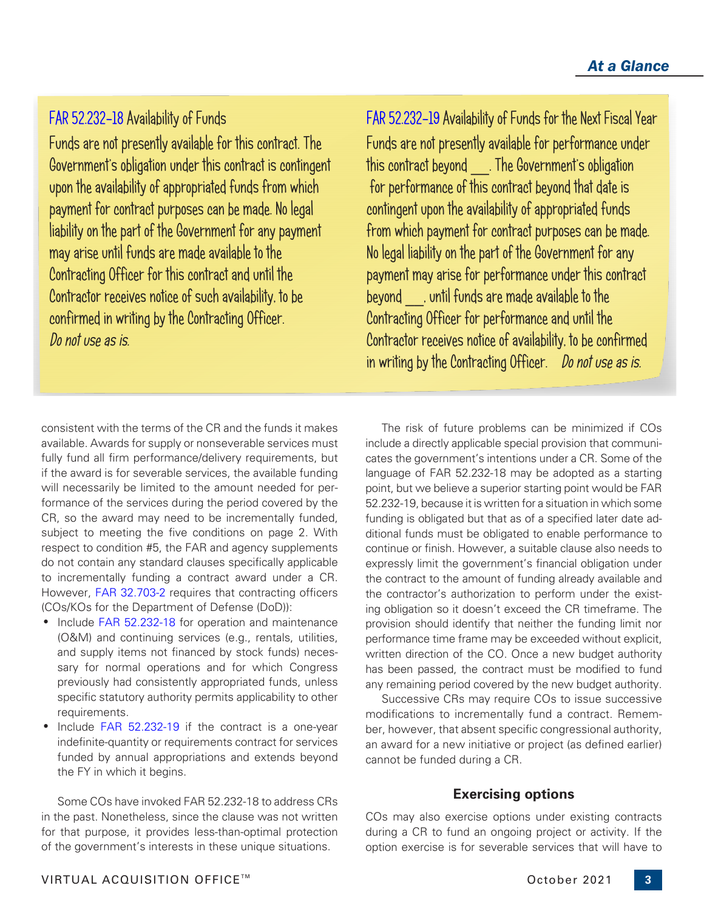# [FAR 52.232-18](https://www.acquisition.gov/far/part-52#FAR_52_232_18) Availability of Funds

Funds are not presently available for this contract. The Government's obligation under this contract is contingent upon the availability of appropriated funds from which payment for contract purposes can be made. No legal liability on the part of the Government for any payment may arise until funds are made available to the Contracting Officer for this contract and until the Contractor receives notice of such availability, to be confirmed in writing by the Contracting Officer. Do not use as is.

consistent with the terms of the CR and the funds it makes available. Awards for supply or nonseverable services must fully fund all firm performance/delivery requirements, but if the award is for severable services, the available funding will necessarily be limited to the amount needed for performance of the services during the period covered by the CR, so the award may need to be incrementally funded, subject to meeting the five conditions on page 2. With respect to condition #5, the FAR and agency supplements do not contain any standard clauses specifically applicable to incrementally funding a contract award under a CR. However, [FAR 32.703-2](https://www.acquisition.gov/far/part-32#FAR_32_703_2) requires that contracting officers (COs/KOs for the Department of Defense (DoD)):

- Include [FAR 52.232-18](https://www.acquisition.gov/far/part-52#FAR_52_232_18) for operation and maintenance (O&M) and continuing services (e.g., rentals, utilities, and supply items not financed by stock funds) necessary for normal operations and for which Congress previously had consistently appropriated funds, unless specific statutory authority permits applicability to other requirements.
- Include [FAR 52.232-19](https://www.acquisition.gov/far/part-52#FAR_52_232_19) if the contract is a one-year indefinite-quantity or requirements contract for services funded by annual appropriations and extends beyond the FY in which it begins.

Some COs have invoked FAR 52.232-18 to address CRs in the past. Nonetheless, since the clause was not written for that purpose, it provides less-than-optimal protection of the government's interests in these unique situations.

[FAR 52.232-19](https://www.acquisition.gov/far/part-52#FAR_52_232_19) Availability of Funds for the Next Fiscal Year Funds are not presently available for performance under this contract beyond \_\_. The Government's obligation for performance of this contract beyond that date is contingent upon the availability of appropriated funds from which payment for contract purposes can be made. No legal liability on the part of the Government for any payment may arise for performance under this contract beyond \_\_, until funds are made available to the Contracting Officer for performance and until the Contractor receives notice of availability, to be confirmed in writing by the Contracting Officer. Do not use as is.

The risk of future problems can be minimized if COs include a directly applicable special provision that communicates the government's intentions under a CR. Some of the language of FAR 52.232-18 may be adopted as a starting point, but we believe a superior starting point would be FAR 52.232-19, because it is written for a situation in which some funding is obligated but that as of a specified later date additional funds must be obligated to enable performance to continue or finish. However, a suitable clause also needs to expressly limit the government's financial obligation under the contract to the amount of funding already available and the contractor's authorization to perform under the existing obligation so it doesn't exceed the CR timeframe. The provision should identify that neither the funding limit nor performance time frame may be exceeded without explicit, written direction of the CO. Once a new budget authority has been passed, the contract must be modified to fund any remaining period covered by the new budget authority.

Successive CRs may require COs to issue successive modifications to incrementally fund a contract. Remember, however, that absent specific congressional authority, an award for a new initiative or project (as defined earlier) cannot be funded during a CR.

# **Exercising options**

COs may also exercise options under existing contracts during a CR to fund an ongoing project or activity. If the option exercise is for severable services that will have to

**3**